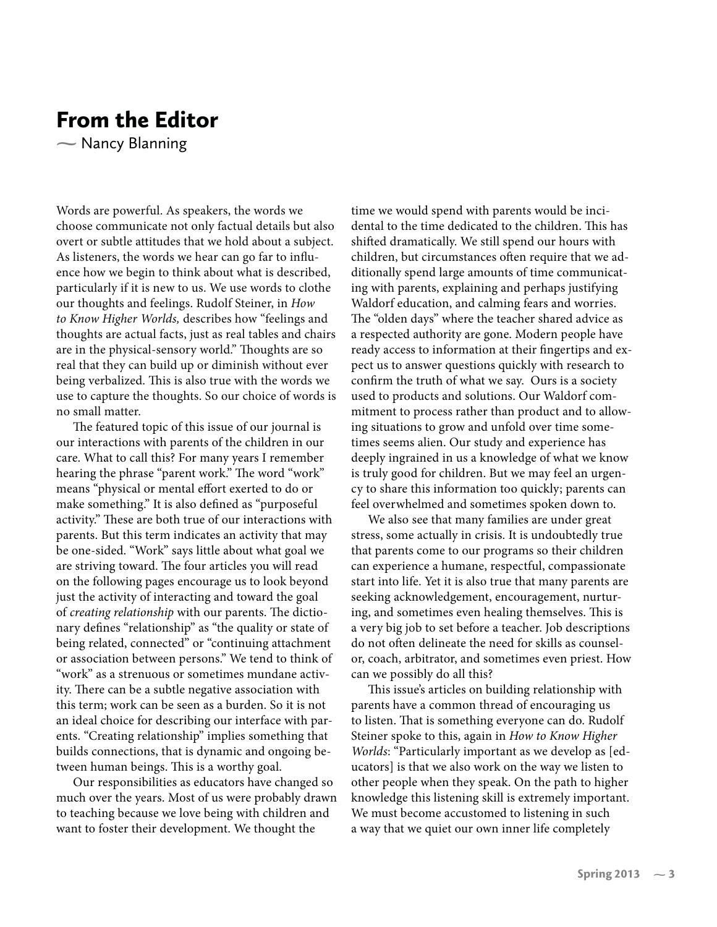## From the Editor

- Nancy Blanning  $\sum_{i=1}^{n}$ 

Words are powerful. As speakers, the words we choose communicate not only factual details but also overt or subtle attitudes that we hold about a subject. As listeners, the words we hear can go far to influence how we begin to think about what is described, particularly if it is new to us. We use words to clothe our thoughts and feelings. Rudolf Steiner, in *How to Know Higher Worlds,* describes how "feelings and thoughts are actual facts, just as real tables and chairs are in the physical-sensory world." Thoughts are so real that they can build up or diminish without ever being verbalized. This is also true with the words we use to capture the thoughts. So our choice of words is no small matter.

The featured topic of this issue of our journal is our interactions with parents of the children in our care. What to call this? For many years I remember hearing the phrase "parent work." The word "work" means "physical or mental effort exerted to do or make something." It is also defined as "purposeful activity." These are both true of our interactions with parents. But this term indicates an activity that may be one-sided. "Work" says little about what goal we are striving toward. The four articles you will read on the following pages encourage us to look beyond just the activity of interacting and toward the goal of *creating relationship* with our parents. The dictionary defines "relationship" as "the quality or state of being related, connected" or "continuing attachment or association between persons." We tend to think of "work" as a strenuous or sometimes mundane activity. There can be a subtle negative association with this term; work can be seen as a burden. So it is not an ideal choice for describing our interface with parents. "Creating relationship" implies something that builds connections, that is dynamic and ongoing between human beings. This is a worthy goal.

Our responsibilities as educators have changed so much over the years. Most of us were probably drawn to teaching because we love being with children and want to foster their development. We thought the

time we would spend with parents would be incidental to the time dedicated to the children. This has shifted dramatically. We still spend our hours with children, but circumstances often require that we additionally spend large amounts of time communicating with parents, explaining and perhaps justifying Waldorf education, and calming fears and worries. The "olden days" where the teacher shared advice as a respected authority are gone. Modern people have ready access to information at their fingertips and expect us to answer questions quickly with research to confirm the truth of what we say. Ours is a society used to products and solutions. Our Waldorf commitment to process rather than product and to allowing situations to grow and unfold over time sometimes seems alien. Our study and experience has deeply ingrained in us a knowledge of what we know is truly good for children. But we may feel an urgency to share this information too quickly; parents can feel overwhelmed and sometimes spoken down to.

We also see that many families are under great stress, some actually in crisis. It is undoubtedly true that parents come to our programs so their children can experience a humane, respectful, compassionate start into life. Yet it is also true that many parents are seeking acknowledgement, encouragement, nurturing, and sometimes even healing themselves. This is a very big job to set before a teacher. Job descriptions do not often delineate the need for skills as counselor, coach, arbitrator, and sometimes even priest. How can we possibly do all this?

This issue's articles on building relationship with parents have a common thread of encouraging us to listen. That is something everyone can do. Rudolf Steiner spoke to this, again in *How to Know Higher Worlds*: "Particularly important as we develop as [educators] is that we also work on the way we listen to other people when they speak. On the path to higher knowledge this listening skill is extremely important. We must become accustomed to listening in such a way that we quiet our own inner life completely